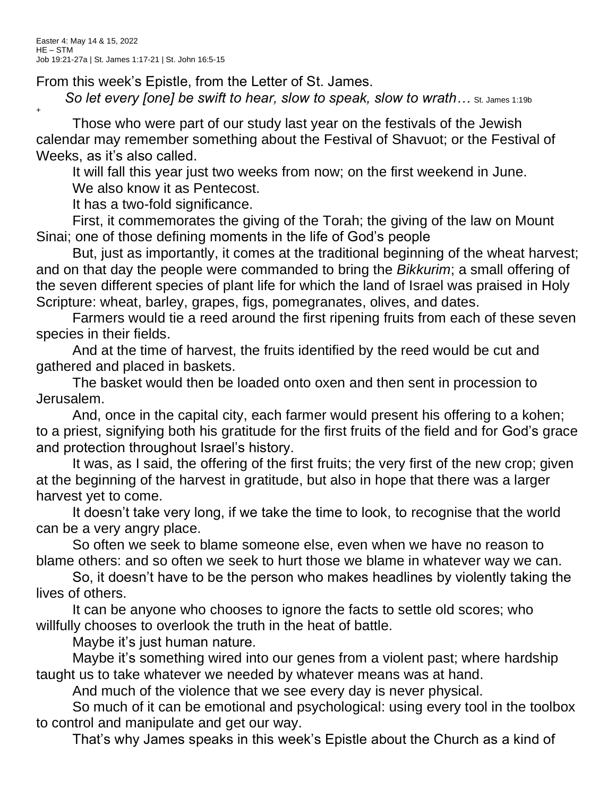+

From this week's Epistle, from the Letter of St. James.

**So let every [one] be swift to hear, slow to speak, slow to wrath...** St. James 1:19b

Those who were part of our study last year on the festivals of the Jewish calendar may remember something about the Festival of Shavuot; or the Festival of Weeks, as it's also called.

It will fall this year just two weeks from now; on the first weekend in June.

We also know it as Pentecost.

It has a two-fold significance.

First, it commemorates the giving of the Torah; the giving of the law on Mount Sinai; one of those defining moments in the life of God's people

But, just as importantly, it comes at the traditional beginning of the wheat harvest; and on that day the people were commanded to bring the *Bikkurim*; a small offering of the seven different species of plant life for which the land of Israel was praised in Holy Scripture: wheat, barley, grapes, figs, pomegranates, olives, and dates.

Farmers would tie a reed around the first ripening fruits from each of these seven species in their fields.

And at the time of harvest, the fruits identified by the reed would be cut and gathered and placed in baskets.

The basket would then be loaded onto oxen and then sent in procession to Jerusalem.

And, once in the capital city, each farmer would present his offering to a kohen; to a priest, signifying both his gratitude for the first fruits of the field and for God's grace and protection throughout Israel's history.

It was, as I said, the offering of the first fruits; the very first of the new crop; given at the beginning of the harvest in gratitude, but also in hope that there was a larger harvest yet to come.

It doesn't take very long, if we take the time to look, to recognise that the world can be a very angry place.

So often we seek to blame someone else, even when we have no reason to blame others: and so often we seek to hurt those we blame in whatever way we can.

So, it doesn't have to be the person who makes headlines by violently taking the lives of others.

It can be anyone who chooses to ignore the facts to settle old scores; who willfully chooses to overlook the truth in the heat of battle.

Maybe it's just human nature.

Maybe it's something wired into our genes from a violent past; where hardship taught us to take whatever we needed by whatever means was at hand.

And much of the violence that we see every day is never physical.

So much of it can be emotional and psychological: using every tool in the toolbox to control and manipulate and get our way.

That's why James speaks in this week's Epistle about the Church as a kind of